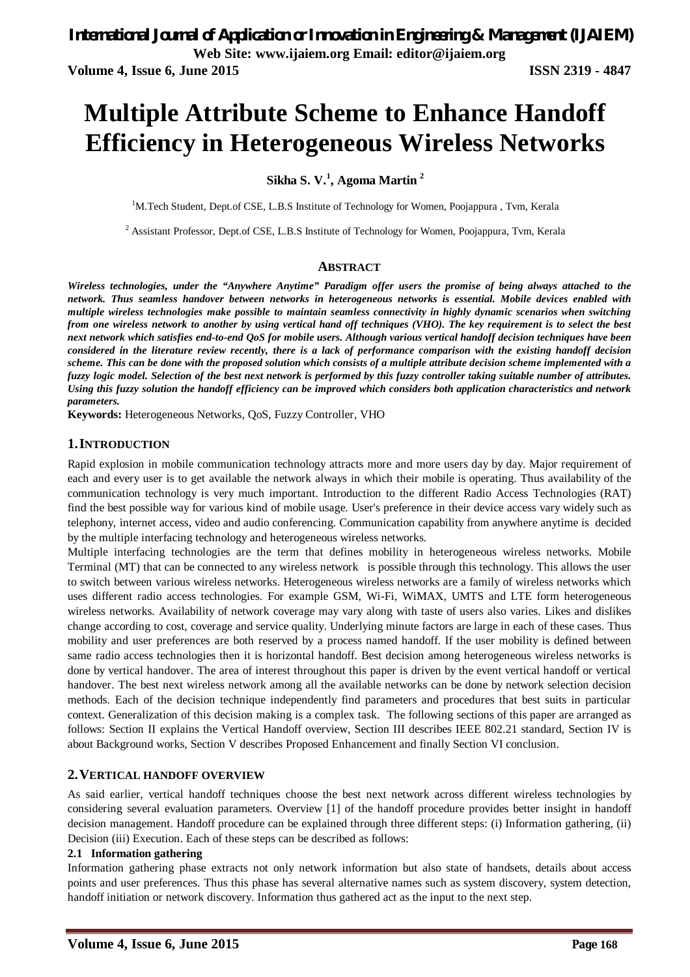# **Multiple Attribute Scheme to Enhance Handoff Efficiency in Heterogeneous Wireless Networks**

# **Sikha S. V.<sup>1</sup> , Agoma Martin <sup>2</sup>**

<sup>1</sup>M.Tech Student, Dept.of CSE, L.B.S Institute of Technology for Women, Poojappura, Tvm, Kerala

<sup>2</sup> Assistant Professor, Dept.of CSE, L.B.S Institute of Technology for Women, Poojappura, Tvm, Kerala

#### **ABSTRACT**

*Wireless technologies, under the "Anywhere Anytime" Paradigm offer users the promise of being always attached to the network. Thus seamless handover between networks in heterogeneous networks is essential. Mobile devices enabled with multiple wireless technologies make possible to maintain seamless connectivity in highly dynamic scenarios when switching from one wireless network to another by using vertical hand off techniques (VHO). The key requirement is to select the best next network which satisfies end-to-end QoS for mobile users. Although various vertical handoff decision techniques have been considered in the literature review recently, there is a lack of performance comparison with the existing handoff decision scheme. This can be done with the proposed solution which consists of a multiple attribute decision scheme implemented with a fuzzy logic model. Selection of the best next network is performed by this fuzzy controller taking suitable number of attributes. Using this fuzzy solution the handoff efficiency can be improved which considers both application characteristics and network parameters.*

**Keywords:** Heterogeneous Networks, QoS, Fuzzy Controller, VHO

## **1.INTRODUCTION**

Rapid explosion in mobile communication technology attracts more and more users day by day. Major requirement of each and every user is to get available the network always in which their mobile is operating. Thus availability of the communication technology is very much important. Introduction to the different Radio Access Technologies (RAT) find the best possible way for various kind of mobile usage. User's preference in their device access vary widely such as telephony, internet access, video and audio conferencing. Communication capability from anywhere anytime is decided by the multiple interfacing technology and heterogeneous wireless networks.

Multiple interfacing technologies are the term that defines mobility in heterogeneous wireless networks. Mobile Terminal (MT) that can be connected to any wireless network is possible through this technology. This allows the user to switch between various wireless networks. Heterogeneous wireless networks are a family of wireless networks which uses different radio access technologies. For example GSM, Wi-Fi, WiMAX, UMTS and LTE form heterogeneous wireless networks. Availability of network coverage may vary along with taste of users also varies. Likes and dislikes change according to cost, coverage and service quality. Underlying minute factors are large in each of these cases. Thus mobility and user preferences are both reserved by a process named handoff. If the user mobility is defined between same radio access technologies then it is horizontal handoff. Best decision among heterogeneous wireless networks is done by vertical handover. The area of interest throughout this paper is driven by the event vertical handoff or vertical handover. The best next wireless network among all the available networks can be done by network selection decision methods. Each of the decision technique independently find parameters and procedures that best suits in particular context. Generalization of this decision making is a complex task. The following sections of this paper are arranged as follows: Section II explains the Vertical Handoff overview, Section III describes IEEE 802.21 standard, Section IV is about Background works, Section V describes Proposed Enhancement and finally Section VI conclusion.

## **2.VERTICAL HANDOFF OVERVIEW**

As said earlier, vertical handoff techniques choose the best next network across different wireless technologies by considering several evaluation parameters. Overview [1] of the handoff procedure provides better insight in handoff decision management. Handoff procedure can be explained through three different steps: (i) Information gathering, (ii) Decision (iii) Execution. Each of these steps can be described as follows:

#### **2.1 Information gathering**

Information gathering phase extracts not only network information but also state of handsets, details about access points and user preferences. Thus this phase has several alternative names such as system discovery, system detection, handoff initiation or network discovery. Information thus gathered act as the input to the next step.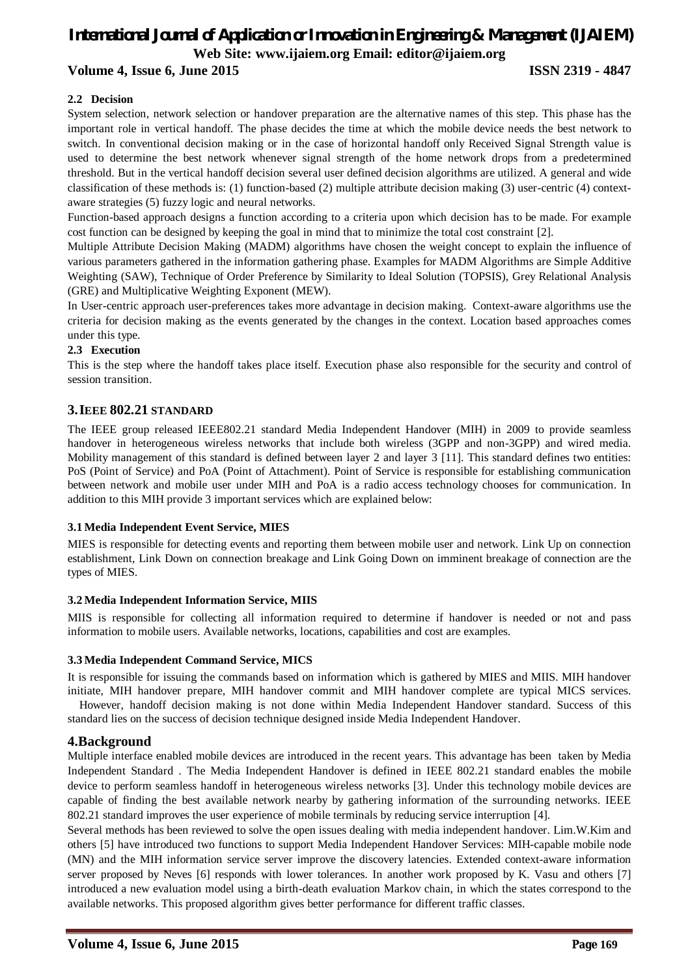# *International Journal of Application or Innovation in Engineering & Management (IJAIEM)* **Web Site: www.ijaiem.org Email: editor@ijaiem.org**

# **Volume 4, Issue 6, June 2015 ISSN 2319 - 4847**

#### **2.2 Decision**

System selection, network selection or handover preparation are the alternative names of this step. This phase has the important role in vertical handoff. The phase decides the time at which the mobile device needs the best network to switch. In conventional decision making or in the case of horizontal handoff only Received Signal Strength value is used to determine the best network whenever signal strength of the home network drops from a predetermined threshold. But in the vertical handoff decision several user defined decision algorithms are utilized. A general and wide classification of these methods is: (1) function-based (2) multiple attribute decision making (3) user-centric (4) contextaware strategies (5) fuzzy logic and neural networks.

Function-based approach designs a function according to a criteria upon which decision has to be made. For example cost function can be designed by keeping the goal in mind that to minimize the total cost constraint [2].

Multiple Attribute Decision Making (MADM) algorithms have chosen the weight concept to explain the influence of various parameters gathered in the information gathering phase. Examples for MADM Algorithms are Simple Additive Weighting (SAW), Technique of Order Preference by Similarity to Ideal Solution (TOPSIS), Grey Relational Analysis (GRE) and Multiplicative Weighting Exponent (MEW).

In User-centric approach user-preferences takes more advantage in decision making. Context-aware algorithms use the criteria for decision making as the events generated by the changes in the context. Location based approaches comes under this type.

#### **2.3 Execution**

This is the step where the handoff takes place itself. Execution phase also responsible for the security and control of session transition.

## **3.IEEE 802.21 STANDARD**

The IEEE group released IEEE802.21 standard Media Independent Handover (MIH) in 2009 to provide seamless handover in heterogeneous wireless networks that include both wireless (3GPP and non-3GPP) and wired media. Mobility management of this standard is defined between layer 2 and layer 3 [11]. This standard defines two entities: PoS (Point of Service) and PoA (Point of Attachment). Point of Service is responsible for establishing communication between network and mobile user under MIH and PoA is a radio access technology chooses for communication. In addition to this MIH provide 3 important services which are explained below:

#### **3.1 Media Independent Event Service, MIES**

MIES is responsible for detecting events and reporting them between mobile user and network. Link Up on connection establishment, Link Down on connection breakage and Link Going Down on imminent breakage of connection are the types of MIES.

#### **3.2 Media Independent Information Service, MIIS**

MIIS is responsible for collecting all information required to determine if handover is needed or not and pass information to mobile users. Available networks, locations, capabilities and cost are examples.

#### **3.3 Media Independent Command Service, MICS**

It is responsible for issuing the commands based on information which is gathered by MIES and MIIS. MIH handover initiate, MIH handover prepare, MIH handover commit and MIH handover complete are typical MICS services.

However, handoff decision making is not done within Media Independent Handover standard. Success of this standard lies on the success of decision technique designed inside Media Independent Handover.

#### **4.Background**

Multiple interface enabled mobile devices are introduced in the recent years. This advantage has been taken by Media Independent Standard . The Media Independent Handover is defined in IEEE 802.21 standard enables the mobile device to perform seamless handoff in heterogeneous wireless networks [3]. Under this technology mobile devices are capable of finding the best available network nearby by gathering information of the surrounding networks. IEEE 802.21 standard improves the user experience of mobile terminals by reducing service interruption [4].

Several methods has been reviewed to solve the open issues dealing with media independent handover. Lim.W.Kim and others [5] have introduced two functions to support Media Independent Handover Services: MIH-capable mobile node (MN) and the MIH information service server improve the discovery latencies. Extended context-aware information server proposed by Neves [6] responds with lower tolerances. In another work proposed by K. Vasu and others [7] introduced a new evaluation model using a birth-death evaluation Markov chain, in which the states correspond to the available networks. This proposed algorithm gives better performance for different traffic classes.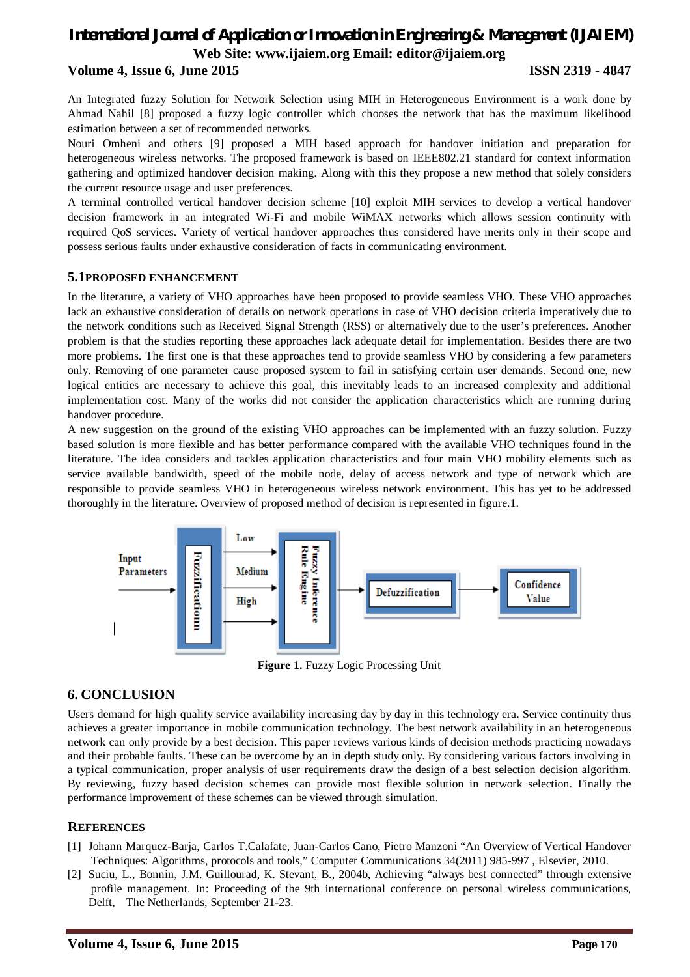# *International Journal of Application or Innovation in Engineering & Management (IJAIEM)* **Web Site: www.ijaiem.org Email: editor@ijaiem.org**

# **Volume 4, Issue 6, June 2015 ISSN 2319 - 4847**

An Integrated fuzzy Solution for Network Selection using MIH in Heterogeneous Environment is a work done by Ahmad Nahil [8] proposed a fuzzy logic controller which chooses the network that has the maximum likelihood estimation between a set of recommended networks.

Nouri Omheni and others [9] proposed a MIH based approach for handover initiation and preparation for heterogeneous wireless networks. The proposed framework is based on IEEE802.21 standard for context information gathering and optimized handover decision making. Along with this they propose a new method that solely considers the current resource usage and user preferences.

A terminal controlled vertical handover decision scheme [10] exploit MIH services to develop a vertical handover decision framework in an integrated Wi-Fi and mobile WiMAX networks which allows session continuity with required QoS services. Variety of vertical handover approaches thus considered have merits only in their scope and possess serious faults under exhaustive consideration of facts in communicating environment.

# **5.1PROPOSED ENHANCEMENT**

In the literature, a variety of VHO approaches have been proposed to provide seamless VHO. These VHO approaches lack an exhaustive consideration of details on network operations in case of VHO decision criteria imperatively due to the network conditions such as Received Signal Strength (RSS) or alternatively due to the user's preferences. Another problem is that the studies reporting these approaches lack adequate detail for implementation. Besides there are two more problems. The first one is that these approaches tend to provide seamless VHO by considering a few parameters only. Removing of one parameter cause proposed system to fail in satisfying certain user demands. Second one, new logical entities are necessary to achieve this goal, this inevitably leads to an increased complexity and additional implementation cost. Many of the works did not consider the application characteristics which are running during handover procedure.

A new suggestion on the ground of the existing VHO approaches can be implemented with an fuzzy solution. Fuzzy based solution is more flexible and has better performance compared with the available VHO techniques found in the literature. The idea considers and tackles application characteristics and four main VHO mobility elements such as service available bandwidth, speed of the mobile node, delay of access network and type of network which are responsible to provide seamless VHO in heterogeneous wireless network environment. This has yet to be addressed thoroughly in the literature. Overview of proposed method of decision is represented in figure.1.



**Figure 1.** Fuzzy Logic Processing Unit

# **6. CONCLUSION**

Users demand for high quality service availability increasing day by day in this technology era. Service continuity thus achieves a greater importance in mobile communication technology. The best network availability in an heterogeneous network can only provide by a best decision. This paper reviews various kinds of decision methods practicing nowadays and their probable faults. These can be overcome by an in depth study only. By considering various factors involving in a typical communication, proper analysis of user requirements draw the design of a best selection decision algorithm. By reviewing, fuzzy based decision schemes can provide most flexible solution in network selection. Finally the performance improvement of these schemes can be viewed through simulation.

# **REFERENCES**

- [1] Johann Marquez-Barja, Carlos T.Calafate, Juan-Carlos Cano, Pietro Manzoni "An Overview of Vertical Handover Techniques: Algorithms, protocols and tools," Computer Communications 34(2011) 985-997 , Elsevier, 2010.
- [2] Suciu, L., Bonnin, J.M. Guillourad, K. Stevant, B., 2004b, Achieving "always best connected" through extensive profile management. In: Proceeding of the 9th international conference on personal wireless communications, Delft, The Netherlands, September 21-23.